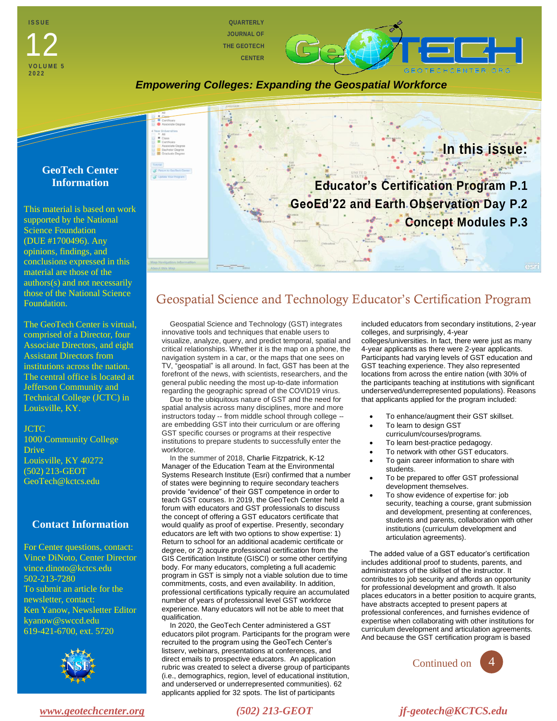**I S S U E VOLUM 202 2** 12

**QUARTERLY JOURNAL OF THE GEOTECH CENTER**

*Empowering Colleges: Expanding the Geospatial Workforce*



This material is based on work supported by the National Science Foundation (DUE #1700496). Any opinions, findings, and conclusions expressed in this material are those of the authors(s) and not necessarily those of the National Science Foundation.

The GeoTech Center is virtual, comprised of a Director, four Associate Directors, and eight Assistant Directors from institutions across the nation. The central office is located at Jefferson Community and Technical College (JCTC) in Louisville, KY.

#### JCTC

1000 Community College Drive Louisville, KY 40272 (502) 213-GEOT GeoTech@kctcs.edu

### **Contact Information**

For Center questions, contact: Vince DiNoto, Center Director vince.dinoto@kctcs.edu 502-213-7280 To submit an article for the newsletter, contact: Ken Yanow, Newsletter Editor kyanow@swccd.edu 619-421-6700, ext. 5720





## Geospatial Science and Technology Educator's Certification Program

Geospatial Science and Technology (GST) integrates innovative tools and techniques that enable users to visualize, analyze, query, and predict temporal, spatial and critical relationships. Whether it is the map on a phone, the navigation system in a car, or the maps that one sees on TV, "geospatial" is all around. In fact, GST has been at the forefront of the news, with scientists, researchers, and the general public needing the most up-to-date information regarding the geographic spread of the COVID19 virus.

Due to the ubiquitous nature of GST and the need for spatial analysis across many disciplines, more and more instructors today -- from middle school through college - are embedding GST into their curriculum or are offering GST specific courses or programs at their respective institutions to prepare students to successfully enter the workforce.

In the summer of 2018, Charlie Fitzpatrick, K-12 Manager of the Education Team at the Environmental Systems Research Institute (Esri) confirmed that a number of states were beginning to require secondary teachers provide "evidence" of their GST competence in order to teach GST courses. In 2019, the GeoTech Center held a forum with educators and GST professionals to discuss the concept of offering a GST educators certificate that would qualify as proof of expertise. Presently, secondary educators are left with two options to show expertise: 1) Return to school for an additional academic certificate or degree, or 2) acquire professional certification from the GIS Certification Institute (GISCI) or some other certifying body. For many educators, completing a full academic program in GST is simply not a viable solution due to time commitments, costs, and even availability. In addition, professional certifications typically require an accumulated number of years of professional level GST workforce experience. Many educators will not be able to meet that qualification.

In 2020, the GeoTech Center administered a GST educators pilot program. Participants for the program were recruited to the program using the GeoTech Center's listserv, webinars, presentations at conferences, and direct emails to prospective educators. An application rubric was created to select a diverse group of participants (i.e., demographics, region, level of educational institution, and underserved or underrepresented communities). 62 applicants applied for 32 spots. The list of participants

included educators from secondary institutions, 2-year colleges, and surprisingly, 4-year colleges/universities. In fact, there were just as many 4-year applicants as there were 2-year applicants. Participants had varying levels of GST education and GST teaching experience. They also represented locations from across the entire nation (with 30% of the participants teaching at institutions with significant underserved/underrepresented populations). Reasons

• To enhance/augment their GST skillset.

that applicants applied for the program included:

- To learn to design GST
- curriculum/courses/programs.
- To learn best-practice pedagogy. To network with other GST educators.
- 
- To gain career information to share with students.
- To be prepared to offer GST professional development themselves.
- To show evidence of expertise for: job security, teaching a course, grant submission and development, presenting at conferences, students and parents, collaboration with other institutions (curriculum development and articulation agreements).

The added value of a GST educator's certification includes additional proof to students, parents, and administrators of the skillset of the instructor. It contributes to job security and affords an opportunity for professional development and growth. It also places educators in a better position to acquire grants, have abstracts accepted to present papers at professional conferences, and furnishes evidence of expertise when collaborating with other institutions for curriculum development and articulation agreements. And because the GST certification program is based



*[www.geotechcenter.org](http://www.geotechcenter.org/) (502) 213-GEOT jf-geotech@KCTCS.edu*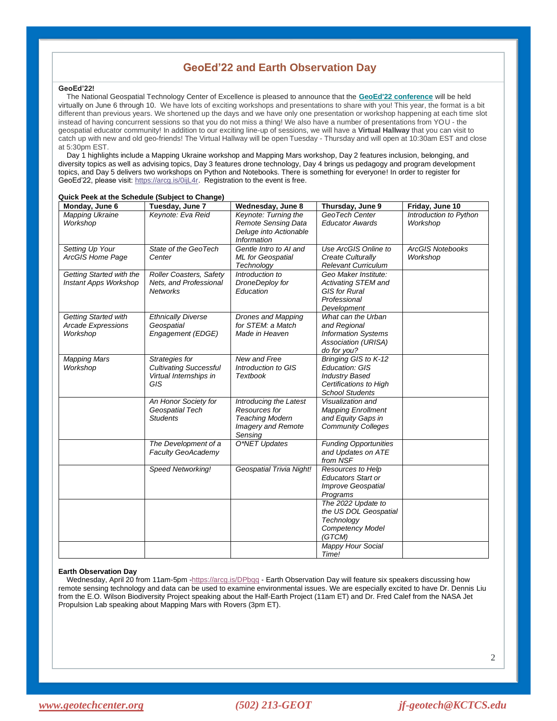## **GeoEd'22 and Earth Observation Day**

#### **GeoEd'22!**

The National Geospatial Technology Center of Excellence is pleased to announce that the **[GeoEd'22 conference](https://storymaps.arcgis.com/stories/6464aebcca924c25b5b01f85777feb6e)** will be held virtually on June 6 through 10. We have lots of exciting workshops and presentations to share with you! This year, the format is a bit different than previous years. We shortened up the days and we have only one presentation or workshop happening at each time slot instead of having concurrent sessions so that you do not miss a thing! We also have a number of presentations from YOU - the geospatial educator community! In addition to our exciting line-up of sessions, we will have a **Virtual Hallway** that you can visit to catch up with new and old geo-friends! The Virtual Hallway will be open Tuesday - Thursday and will open at 10:30am EST and close at 5:30pm EST.

Day 1 highlights include a Mapping Ukraine workshop and Mapping Mars workshop, Day 2 features inclusion, belonging, and diversity topics as well as advising topics, Day 3 features drone technology, Day 4 brings us pedagogy and program development topics, and Day 5 delivers two workshops on Python and Notebooks. There is something for everyone! In order to register for GeoEd'22, please visit[: https://arcg.is/0ijL4r.](https://arcg.is/0ijL4r) Registration to the event is free.

| Monday, June 6                                                       | Tuesday, June 7                                                                         | Wednesday, June 8                                                                                  | Thursday, June 9                                                                                                    | Friday, June 10                     |
|----------------------------------------------------------------------|-----------------------------------------------------------------------------------------|----------------------------------------------------------------------------------------------------|---------------------------------------------------------------------------------------------------------------------|-------------------------------------|
| <b>Mapping Ukraine</b><br>Workshop                                   | Keynote: Eva Reid                                                                       | Keynote: Turning the<br><b>Remote Sensing Data</b><br>Deluge into Actionable<br><b>Information</b> | GeoTech Center<br><b>Educator Awards</b>                                                                            | Introduction to Python<br>Workshop  |
| Setting Up Your<br>ArcGIS Home Page                                  | State of the GeoTech<br>Center                                                          | Gentle Intro to AI and<br>ML for Geospatial<br>Technology                                          | Use ArcGIS Online to<br>Create Culturally<br><b>Relevant Curriculum</b>                                             | <b>ArcGIS Notebooks</b><br>Workshop |
| Getting Started with the<br>Instant Apps Workshop                    | <b>Roller Coasters, Safety</b><br>Nets, and Professional<br><b>Networks</b>             | Introduction to<br>DroneDeploy for<br>Education                                                    | Geo Maker Institute:<br>Activating STEM and<br><b>GIS for Rural</b><br>Professional<br>Development                  |                                     |
| <b>Getting Started with</b><br><b>Arcade Expressions</b><br>Workshop | <b>Ethnically Diverse</b><br>Geospatial<br>Engagement (EDGE)                            | Drones and Mapping<br>for STEM: a Match<br>Made in Heaven                                          | What can the Urban<br>and Regional<br><b>Information Systems</b><br>Association (URISA)<br>do for you?              |                                     |
| <b>Mapping Mars</b><br>Workshop                                      | Strategies for<br><b>Cultivating Successful</b><br>Virtual Internships in<br><b>GIS</b> | New and Free<br>Introduction to GIS<br>Textbook                                                    | Bringing GIS to K-12<br>Education: GIS<br><b>Industry Based</b><br>Certifications to High<br><b>School Students</b> |                                     |
|                                                                      | An Honor Society for<br>Geospatial Tech<br><b>Students</b>                              | Introducing the Latest<br>Resources for<br><b>Teaching Modern</b><br>Imagery and Remote<br>Sensing | Visualization and<br><b>Mapping Enrollment</b><br>and Equity Gaps in<br><b>Community Colleges</b>                   |                                     |
|                                                                      | The Development of a<br><b>Faculty GeoAcademy</b>                                       | O*NET Updates                                                                                      | <b>Funding Opportunities</b><br>and Updates on ATE<br>from NSF                                                      |                                     |
|                                                                      | Speed Networking!                                                                       | Geospatial Trivia Night!                                                                           | Resources to Help<br><b>Educators Start or</b><br><b>Improve Geospatial</b><br>Programs                             |                                     |
|                                                                      |                                                                                         |                                                                                                    | The 2022 Update to<br>the US DOL Geospatial<br>Technology<br>Competency Model<br>(GTCM)                             |                                     |
|                                                                      |                                                                                         |                                                                                                    | Mappy Hour Social<br>Time!                                                                                          |                                     |

#### **Quick Peek at the Schedule (Subject to Change)**

#### **Earth Observation Day**

Wednesday, April 20 from 11am-5pm [-https://arcg.is/DPbqq](https://arcg.is/DPbqq) - Earth Observation Day will feature six speakers discussing how remote sensing technology and data can be used to examine environmental issues. We are especially excited to have Dr. Dennis Liu from the E.O. Wilson Biodiversity Project speaking about the Half-Earth Project (11am ET) and Dr. Fred Calef from the NASA Jet Propulsion Lab speaking about Mapping Mars with Rovers (3pm ET).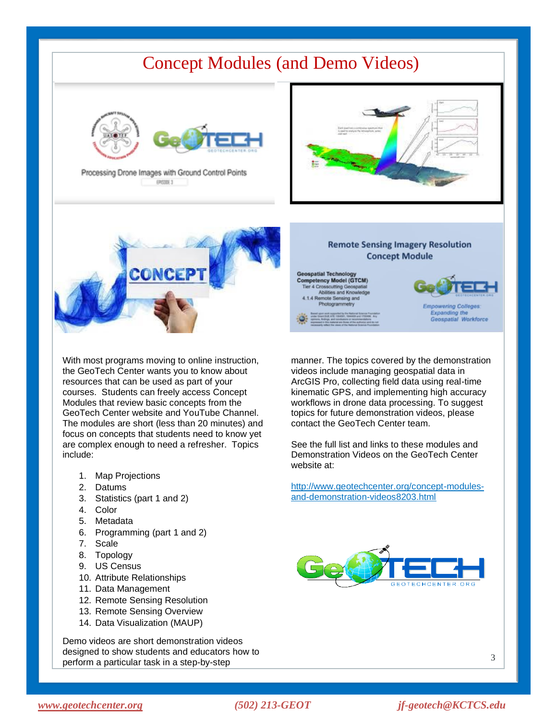# Concept Modules (and Demo Videos)



Processing Drone Images with Ground Control Points EPISODE 3





With most programs moving to online instruction, the GeoTech Center wants you to know about resources that can be used as part of your courses. Students can freely access Concept Modules that review basic concepts from the GeoTech Center website and YouTube Channel. The modules are short (less than 20 minutes) and focus on concepts that students need to know yet are complex enough to need a refresher. Topics include:

- 1. Map Projections
- 2. Datums
- 3. Statistics (part 1 and 2)
- 4. Color
- 5. Metadata
- 6. Programming (part 1 and 2)
- 7. Scale
- 8. Topology
- 9. US Census
- 10. Attribute Relationships
- 11. Data Management
- 12. Remote Sensing Resolution
- 13. Remote Sensing Overview
- 14. Data Visualization (MAUP)

Demo videos are short demonstration videos designed to show students and educators how to perform a particular task in a step-by-step

#### **Remote Sensing Imagery Resolution Concept Module**

ospatial Technology etency Model (GTCM) scutting Geo **Abilities** as **id Kno** te Sensing a



**Expanding the**<br>Geospatial Workforce

manner. The topics covered by the demonstration videos include managing geospatial data in ArcGIS Pro, collecting field data using real-time kinematic GPS, and implementing high accuracy workflows in drone data processing. To suggest topics for future demonstration videos, please contact the GeoTech Center team.

See the full list and links to these modules and Demonstration Videos on the GeoTech Center website at:

[http://www.geotechcenter.org/concept-modules](http://www.geotechcenter.org/concept-modules-and-demonstration-videos8203.html)[and-demonstration-videos8203.html](http://www.geotechcenter.org/concept-modules-and-demonstration-videos8203.html)